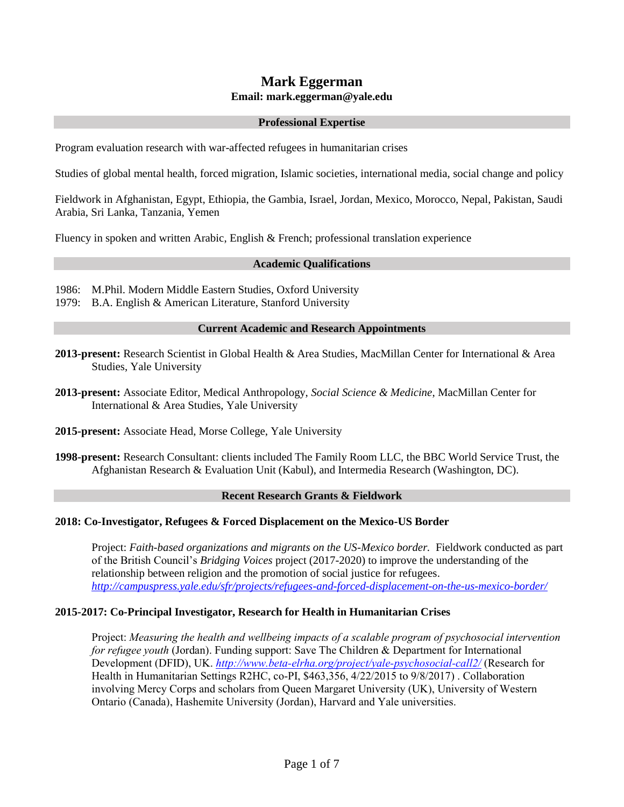# **Mark Eggerman Email: mark.eggerman@yale.edu**

### **Professional Expertise**

Program evaluation research with war-affected refugees in humanitarian crises

Studies of global mental health, forced migration, Islamic societies, international media, social change and policy

Fieldwork in Afghanistan, Egypt, Ethiopia, the Gambia, Israel, Jordan, Mexico, Morocco, Nepal, Pakistan, Saudi Arabia, Sri Lanka, Tanzania, Yemen

Fluency in spoken and written Arabic, English & French; professional translation experience

### **Academic Qualifications**

1986: M.Phil. Modern Middle Eastern Studies, Oxford University

1979: B.A. English & American Literature, Stanford University

### **Current Academic and Research Appointments**

- **2013-present:** Research Scientist in Global Health & Area Studies, MacMillan Center for International & Area Studies, Yale University
- **2013-present:** Associate Editor, Medical Anthropology, *Social Science & Medicine*, MacMillan Center for International & Area Studies, Yale University
- **2015-present:** Associate Head, Morse College, Yale University
- **1998-present:** Research Consultant: clients included The Family Room LLC, the BBC World Service Trust, the Afghanistan Research & Evaluation Unit (Kabul), and Intermedia Research (Washington, DC).

# **Recent Research Grants & Fieldwork**

# **2018: Co-Investigator, Refugees & Forced Displacement on the Mexico-US Border**

Project: *Faith-based organizations and migrants on the US-Mexico border.* Fieldwork conducted as part of the British Council's *Bridging Voices* project (2017-2020) to improve the understanding of the relationship between religion and the promotion of social justice for refugees. *<http://campuspress.yale.edu/sfr/projects/refugees-and-forced-displacement-on-the-us-mexico-border/>*

# **2015-2017: Co-Principal Investigator, Research for Health in Humanitarian Crises**

Project: *Measuring the health and wellbeing impacts of a scalable program of psychosocial intervention for refugee youth* (Jordan). Funding support: Save The Children & Department for International Development (DFID), UK. *<http://www.beta-elrha.org/project/yale-psychosocial-call2/>* (Research for Health in Humanitarian Settings R2HC, co-PI, \$463,356, 4/22/2015 to 9/8/2017) . Collaboration involving Mercy Corps and scholars from Queen Margaret University (UK), University of Western Ontario (Canada), Hashemite University (Jordan), Harvard and Yale universities.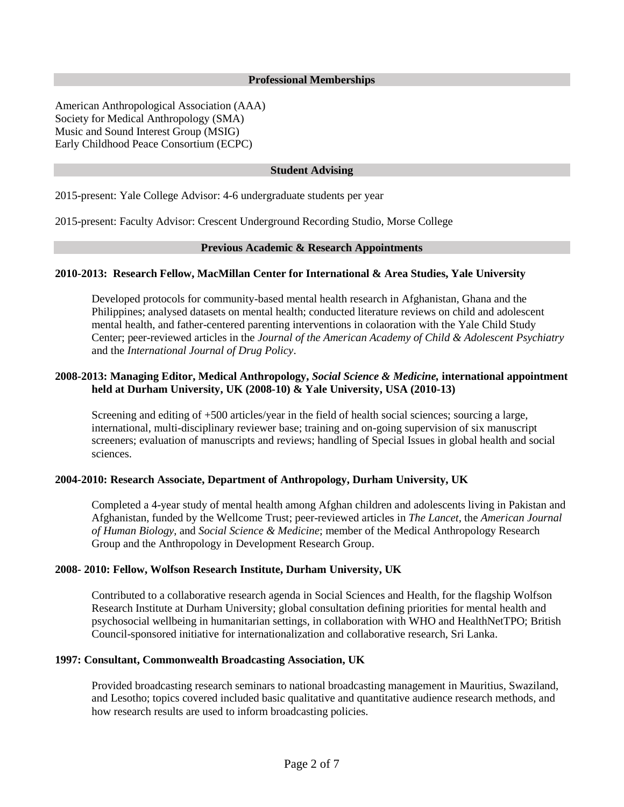#### **Professional Memberships**

American Anthropological Association (AAA) Society for Medical Anthropology (SMA) Music and Sound Interest Group (MSIG) Early Childhood Peace Consortium (ECPC)

# **Student Advising**

2015-present: Yale College Advisor: 4-6 undergraduate students per year

2015-present: Faculty Advisor: Crescent Underground Recording Studio, Morse College

#### **Previous Academic & Research Appointments**

#### **2010-2013: Research Fellow, MacMillan Center for International & Area Studies, Yale University**

Developed protocols for community-based mental health research in Afghanistan, Ghana and the Philippines; analysed datasets on mental health; conducted literature reviews on child and adolescent mental health, and father-centered parenting interventions in colaoration with the Yale Child Study Center; peer-reviewed articles in the *Journal of the American Academy of Child & Adolescent Psychiatry* and the *International Journal of Drug Policy*.

# **2008-2013: Managing Editor, Medical Anthropology,** *Social Science & Medicine,* **international appointment held at Durham University, UK (2008-10) & Yale University, USA (2010-13)**

Screening and editing of +500 articles/year in the field of health social sciences; sourcing a large, international, multi-disciplinary reviewer base; training and on-going supervision of six manuscript screeners; evaluation of manuscripts and reviews; handling of Special Issues in global health and social sciences.

# **2004-2010: Research Associate, Department of Anthropology, Durham University, UK**

Completed a 4-year study of mental health among Afghan children and adolescents living in Pakistan and Afghanistan, funded by the Wellcome Trust; peer-reviewed articles in *The Lancet*, the *American Journal of Human Biology*, and *Social Science & Medicine*; member of the Medical Anthropology Research Group and the Anthropology in Development Research Group.

#### **2008- 2010: Fellow, Wolfson Research Institute, Durham University, UK**

Contributed to a collaborative research agenda in Social Sciences and Health, for the flagship Wolfson Research Institute at Durham University; global consultation defining priorities for mental health and psychosocial wellbeing in humanitarian settings, in collaboration with WHO and HealthNetTPO; British Council-sponsored initiative for internationalization and collaborative research, Sri Lanka.

# **1997: Consultant, Commonwealth Broadcasting Association, UK**

Provided broadcasting research seminars to national broadcasting management in Mauritius, Swaziland, and Lesotho; topics covered included basic qualitative and quantitative audience research methods, and how research results are used to inform broadcasting policies.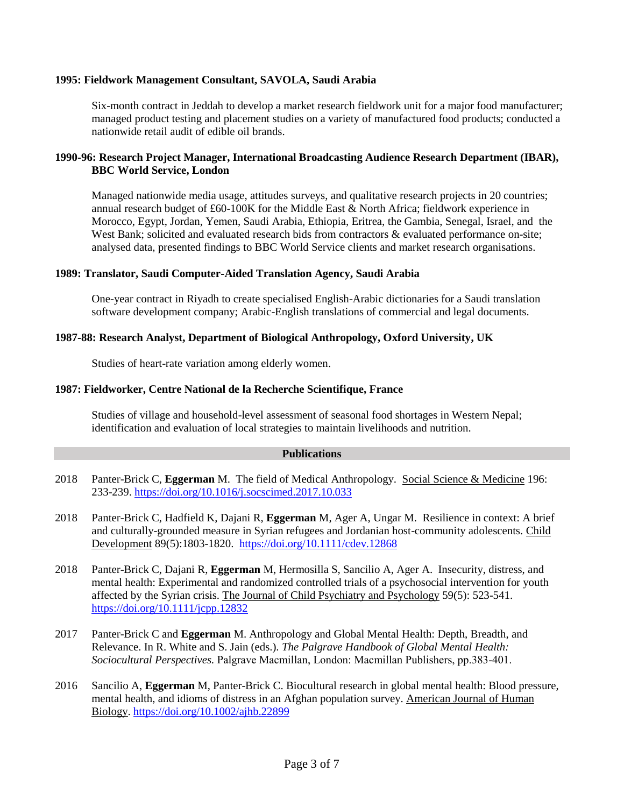# **1995: Fieldwork Management Consultant, SAVOLA, Saudi Arabia**

Six-month contract in Jeddah to develop a market research fieldwork unit for a major food manufacturer; managed product testing and placement studies on a variety of manufactured food products; conducted a nationwide retail audit of edible oil brands.

# **1990-96: Research Project Manager, International Broadcasting Audience Research Department (IBAR), BBC World Service, London**

Managed nationwide media usage, attitudes surveys, and qualitative research projects in 20 countries; annual research budget of £60-100K for the Middle East & North Africa; fieldwork experience in Morocco, Egypt, Jordan, Yemen, Saudi Arabia, Ethiopia, Eritrea, the Gambia, Senegal, Israel, and the West Bank; solicited and evaluated research bids from contractors & evaluated performance on-site; analysed data, presented findings to BBC World Service clients and market research organisations.

# **1989: Translator, Saudi Computer-Aided Translation Agency, Saudi Arabia**

One-year contract in Riyadh to create specialised English-Arabic dictionaries for a Saudi translation software development company; Arabic-English translations of commercial and legal documents.

# **1987-88: Research Analyst, Department of Biological Anthropology, Oxford University, UK**

Studies of heart-rate variation among elderly women.

# **1987: Fieldworker, Centre National de la Recherche Scientifique, France**

Studies of village and household-level assessment of seasonal food shortages in Western Nepal; identification and evaluation of local strategies to maintain livelihoods and nutrition.

### **Publications**

- 2018 Panter-Brick C, **Eggerman** M. The field of Medical Anthropology. Social Science & Medicine 196: 233-239.<https://doi.org/10.1016/j.socscimed.2017.10.033>
- 2018 Panter-Brick C, Hadfield K, Dajani R, **Eggerman** M, Ager A, Ungar M. Resilience in context: A brief and culturally-grounded measure in Syrian refugees and Jordanian host-community adolescents. Child Development 89(5):1803-1820. <https://doi.org/10.1111/cdev.12868>
- 2018 Panter-Brick C, Dajani R, **Eggerman** M, Hermosilla S, Sancilio A, Ager A. Insecurity, distress, and mental health: Experimental and randomized controlled trials of a psychosocial intervention for youth affected by the Syrian crisis. The Journal of Child Psychiatry and Psychology 59(5): 523-541. <https://doi.org/10.1111/jcpp.12832>
- 2017 Panter-Brick C and **Eggerman** M. Anthropology and Global Mental Health: Depth, Breadth, and Relevance. In R. White and S. Jain (eds.). *The Palgrave Handbook of Global Mental Health: Sociocultural Perspectives.* Palgrave Macmillan, London: Macmillan Publishers, pp.383-401.
- 2016 Sancilio A, **Eggerman** M, Panter-Brick C. Biocultural research in global mental health: Blood pressure, mental health, and idioms of distress in an Afghan population survey. American Journal of Human Biology. <https://doi.org/10.1002/ajhb.22899>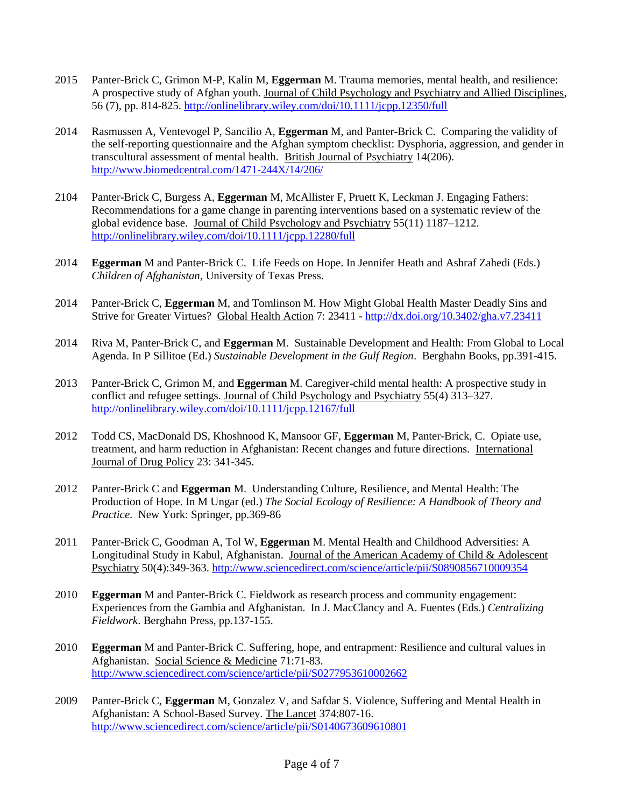- 2015 Panter-Brick C, Grimon M-P, Kalin M, **Eggerman** M. Trauma memories, mental health, and resilience: A prospective study of Afghan youth. Journal of Child Psychology and Psychiatry and Allied Disciplines, 56 (7), pp. 814-825.<http://onlinelibrary.wiley.com/doi/10.1111/jcpp.12350/full>
- 2014 Rasmussen A, Ventevogel P, Sancilio A, **Eggerman** M, and Panter-Brick C. Comparing the validity of the self-reporting questionnaire and the Afghan symptom checklist: Dysphoria, aggression, and gender in transcultural assessment of mental health. British Journal of Psychiatry 14(206). <http://www.biomedcentral.com/1471-244X/14/206/>
- 2104 Panter-Brick C, Burgess A, **Eggerman** M, McAllister F, Pruett K, Leckman J. Engaging Fathers: Recommendations for a game change in parenting interventions based on a systematic review of the global evidence base. Journal of Child Psychology and Psychiatry 55(11) 1187–1212. <http://onlinelibrary.wiley.com/doi/10.1111/jcpp.12280/full>
- 2014 **Eggerman** M and Panter-Brick C. Life Feeds on Hope. In Jennifer Heath and Ashraf Zahedi (Eds.) *Children of Afghanistan*, University of Texas Press.
- 2014 Panter-Brick C, **Eggerman** M, and Tomlinson M. How Might Global Health Master Deadly Sins and Strive for Greater Virtues? Global Health Action 7: 23411 - <http://dx.doi.org/10.3402/gha.v7.23411>
- 2014 Riva M, Panter-Brick C, and **Eggerman** M. Sustainable Development and Health: From Global to Local Agenda. In P Sillitoe (Ed.) *Sustainable Development in the Gulf Region*. Berghahn Books, pp.391-415.
- 2013 Panter-Brick C, Grimon M, and **Eggerman** M. Caregiver-child mental health: A prospective study in conflict and refugee settings. Journal of Child Psychology and Psychiatry 55(4) 313–327. <http://onlinelibrary.wiley.com/doi/10.1111/jcpp.12167/full>
- 2012 Todd CS, MacDonald DS, Khoshnood K, Mansoor GF, **Eggerman** M, Panter-Brick, C. Opiate use, treatment, and harm reduction in Afghanistan: Recent changes and future directions. International Journal of Drug Policy 23: 341-345.
- 2012 Panter-Brick C and **Eggerman** M. Understanding Culture, Resilience, and Mental Health: The Production of Hope. In M Ungar (ed.) *The Social Ecology of Resilience: A Handbook of Theory and Practice*. New York: Springer, pp.369-86
- 2011 Panter-Brick C, Goodman A, Tol W, **Eggerman** M. Mental Health and Childhood Adversities: A Longitudinal Study in Kabul, Afghanistan. Journal of the American Academy of Child & Adolescent Psychiatry 50(4):349-363.<http://www.sciencedirect.com/science/article/pii/S0890856710009354>
- 2010 **Eggerman** M and Panter-Brick C. Fieldwork as research process and community engagement: Experiences from the Gambia and Afghanistan. In J. MacClancy and A. Fuentes (Eds.) *Centralizing Fieldwork*. Berghahn Press, pp.137-155.
- 2010 **Eggerman** M and Panter-Brick C. Suffering, hope, and entrapment: Resilience and cultural values in Afghanistan. Social Science & Medicine 71:71-83. <http://www.sciencedirect.com/science/article/pii/S0277953610002662>
- 2009 Panter-Brick C, **Eggerman** M, Gonzalez V, and Safdar S. Violence, Suffering and Mental Health in Afghanistan: A School-Based Survey. The Lancet 374:807-16. <http://www.sciencedirect.com/science/article/pii/S0140673609610801>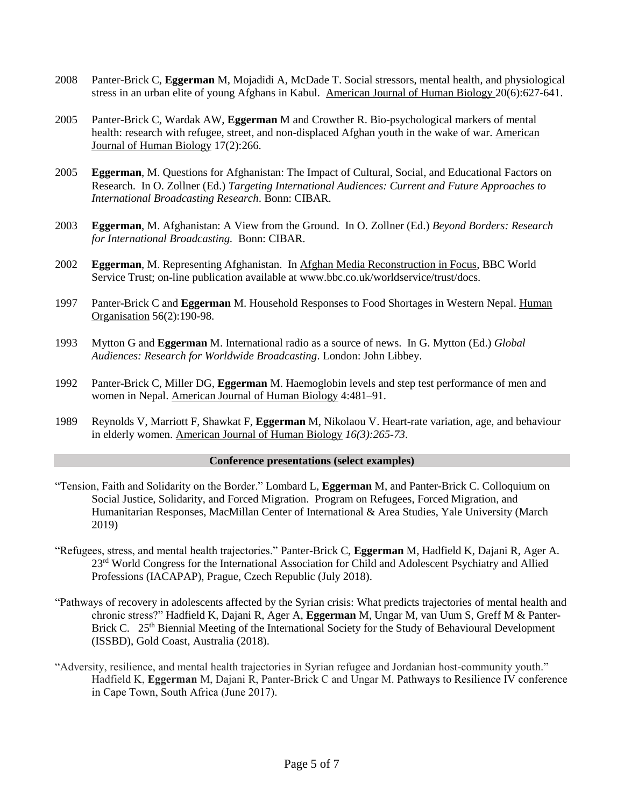- 2008 Panter-Brick C, **Eggerman** M, Mojadidi A, McDade T. Social stressors, mental health, and physiological stress in an urban elite of young Afghans in Kabul. American Journal of Human Biology 20(6):627-641.
- 2005 Panter-Brick C, Wardak AW, **Eggerman** M and Crowther R. Bio-psychological markers of mental health: research with refugee, street, and non-displaced Afghan youth in the wake of war. American Journal of Human Biology 17(2):266.
- 2005 **Eggerman**, M. Questions for Afghanistan: The Impact of Cultural, Social, and Educational Factors on Research. In O. Zollner (Ed.) *Targeting International Audiences: Current and Future Approaches to International Broadcasting Research*. Bonn: CIBAR.
- 2003 **Eggerman**, M. Afghanistan: A View from the Ground. In O. Zollner (Ed.) *Beyond Borders: Research for International Broadcasting.* Bonn: CIBAR.
- 2002 **Eggerman**, M. Representing Afghanistan. In Afghan Media Reconstruction in Focus, BBC World Service Trust; on-line publication available at www.bbc.co.uk/worldservice/trust/docs.
- 1997 Panter-Brick C and **Eggerman** M. Household Responses to Food Shortages in Western Nepal. Human Organisation 56(2):190-98.
- 1993 Mytton G and **Eggerman** M. International radio as a source of news. In G. Mytton (Ed.) *Global Audiences: Research for Worldwide Broadcasting*. London: John Libbey.
- 1992 Panter-Brick C, Miller DG, **Eggerman** M. Haemoglobin levels and step test performance of men and women in Nepal. American Journal of Human Biology 4:481–91.
- 1989 Reynolds V, Marriott F, Shawkat F, **Eggerman** M, Nikolaou V. Heart-rate variation, age, and behaviour in elderly women. American Journal of Human Biology *16(3):265-73*.

### **Conference presentations (select examples)**

- "Tension, Faith and Solidarity on the Border." Lombard L, **Eggerman** M, and Panter-Brick C. Colloquium on Social Justice, Solidarity, and Forced Migration. Program on Refugees, Forced Migration, and Humanitarian Responses, MacMillan Center of International & Area Studies, Yale University (March 2019)
- "Refugees, stress, and mental health trajectories." Panter-Brick C, **Eggerman** M, Hadfield K, Dajani R, Ager A. 23<sup>rd</sup> World Congress for the International Association for Child and Adolescent Psychiatry and Allied Professions (IACAPAP), Prague, Czech Republic (July 2018).
- "Pathways of recovery in adolescents affected by the Syrian crisis: What predicts trajectories of mental health and chronic stress?" Hadfield K, Dajani R, Ager A, **Eggerman** M, Ungar M, van Uum S, Greff M & Panter-Brick C. 25<sup>th</sup> Biennial Meeting of the International Society for the Study of Behavioural Development (ISSBD), Gold Coast, Australia (2018).
- "Adversity, resilience, and mental health trajectories in Syrian refugee and Jordanian host-community youth." Hadfield K, **Eggerman** M, Dajani R, Panter-Brick C and Ungar M. Pathways to Resilience IV conference in Cape Town, South Africa (June 2017).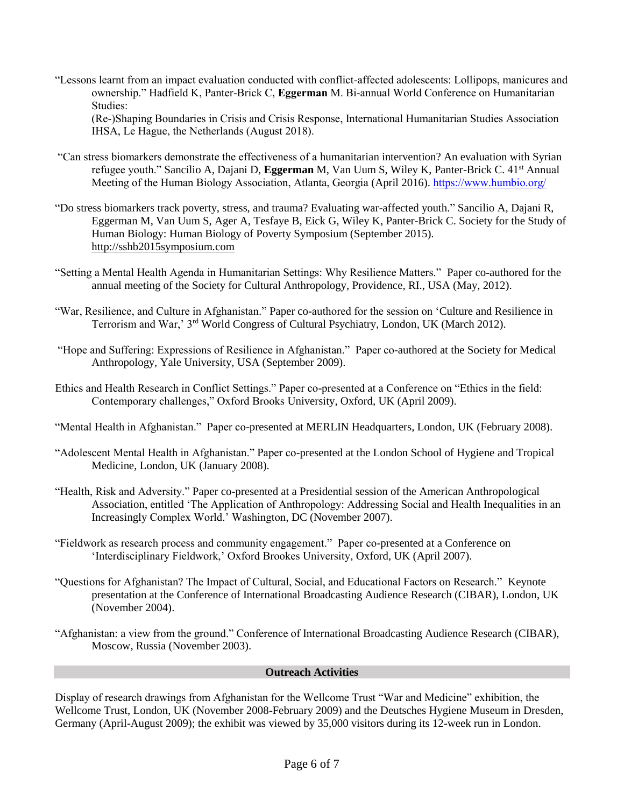"Lessons learnt from an impact evaluation conducted with conflict-affected adolescents: Lollipops, manicures and ownership." Hadfield K, Panter-Brick C, **Eggerman** M. Bi-annual World Conference on Humanitarian Studies:

(Re-)Shaping Boundaries in Crisis and Crisis Response, International Humanitarian Studies Association IHSA, Le Hague, the Netherlands (August 2018).

- "Can stress biomarkers demonstrate the effectiveness of a humanitarian intervention? An evaluation with Syrian refugee youth." Sancilio A, Dajani D, **Eggerman** M, Van Uum S, Wiley K, Panter-Brick C. 41st Annual Meeting of the Human Biology Association, Atlanta, Georgia (April 2016). <https://www.humbio.org/>
- "Do stress biomarkers track poverty, stress, and trauma? Evaluating war-affected youth." Sancilio A, Dajani R, Eggerman M, Van Uum S, Ager A, Tesfaye B, Eick G, Wiley K, Panter-Brick C. Society for the Study of Human Biology: Human Biology of Poverty Symposium (September 2015). [http://sshb2015symposium.com](http://sshb2015symposium.com/)
- "Setting a Mental Health Agenda in Humanitarian Settings: Why Resilience Matters." Paper co-authored for the annual meeting of the Society for Cultural Anthropology, Providence, RI., USA (May, 2012).
- "War, Resilience, and Culture in Afghanistan." Paper co-authored for the session on 'Culture and Resilience in Terrorism and War,' 3rd World Congress of Cultural Psychiatry, London, UK (March 2012).
- "Hope and Suffering: Expressions of Resilience in Afghanistan." Paper co-authored at the Society for Medical Anthropology, Yale University, USA (September 2009).
- Ethics and Health Research in Conflict Settings." Paper co-presented at a Conference on "Ethics in the field: Contemporary challenges," Oxford Brooks University, Oxford, UK (April 2009).

"Mental Health in Afghanistan." Paper co-presented at MERLIN Headquarters, London, UK (February 2008).

- "Adolescent Mental Health in Afghanistan." Paper co-presented at the London School of Hygiene and Tropical Medicine, London, UK (January 2008).
- "Health, Risk and Adversity." Paper co-presented at a Presidential session of the American Anthropological Association, entitled 'The Application of Anthropology: Addressing Social and Health Inequalities in an Increasingly Complex World.' Washington, DC (November 2007).
- "Fieldwork as research process and community engagement." Paper co-presented at a Conference on 'Interdisciplinary Fieldwork,' Oxford Brookes University, Oxford, UK (April 2007).
- "Questions for Afghanistan? The Impact of Cultural, Social, and Educational Factors on Research." Keynote presentation at the Conference of International Broadcasting Audience Research (CIBAR), London, UK (November 2004).
- "Afghanistan: a view from the ground." Conference of International Broadcasting Audience Research (CIBAR), Moscow, Russia (November 2003).

# **Outreach Activities**

Display of research drawings from Afghanistan for the Wellcome Trust "War and Medicine" exhibition, the Wellcome Trust, London, UK (November 2008-February 2009) and the Deutsches Hygiene Museum in Dresden, Germany (April-August 2009); the exhibit was viewed by 35,000 visitors during its 12-week run in London.